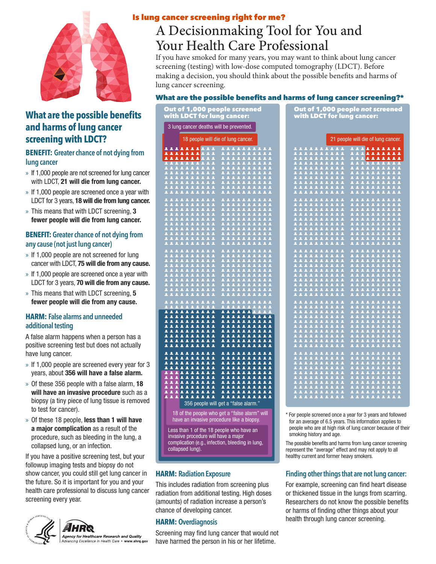

# **What are the possible benefits and harms of lung cancer screening with LDCT?**

#### **BENEFIT: Greater chance of not dying from lung cancer**

- » If 1,000 people are not screened for lung cancer with LDCT, **21 will die from lung cancer.**
- » If 1,000 people are screened once a year with LDCT for 3 years, **18 will die from lung cancer.**
- » This means that with LDCT screening, **3 fewer people will die from lung cancer.**

#### **BENEFIT: Greater chance of not dying from any cause (not just lung cancer)**

- » If 1,000 people are not screened for lung cancer with LDCT, **75 will die from any cause.**
- » If 1,000 people are screened once a year with LDCT for 3 years, **70 will die from any cause.**
- » This means that with LDCT screening, **5 fewer people will die from any cause.**

#### **HARM: False alarms and unneeded additional testing**

A false alarm happens when a person has a positive screening test but does not actually have lung cancer.

- » If 1,000 people are screened every year for 3 years, about **356 will have a false alarm.**
- » Of these 356 people with a false alarm, **18 will have an invasive procedure** such as a biopsy (a tiny piece of lung tissue is removed to test for cancer).
- » Of these 18 people, **less than 1 will have a major complication** as a result of the procedure, such as bleeding in the lung, a collapsed lung, or an infection.

If you have a positive screening test, but your followup imaging tests and biopsy do not show cancer, you could still get lung cancer in the future. So it is important for you and your health care professional to discuss lung cancer screening every year.



### Is lung cancer screening right for me?

Out of 1,000 people screened

# A Decisionmaking Tool for You and Your Health Care Professional

If you have smoked for many years, you may want to think about lung cancer screening (testing) with low-dose computed tomography (LDCT). Before making a decision, you should think about the possible benefits and harms of lung cancer screening.

#### What are the possible benefits and harms of lung cancer screening?\*

|                                                                                                                                                                                                                                                                                                                                                                                                                                                                                                          | with LDCT for lung cancer:                                                                                                                                                     |                                                  |  |  |  |  |
|----------------------------------------------------------------------------------------------------------------------------------------------------------------------------------------------------------------------------------------------------------------------------------------------------------------------------------------------------------------------------------------------------------------------------------------------------------------------------------------------------------|--------------------------------------------------------------------------------------------------------------------------------------------------------------------------------|--------------------------------------------------|--|--|--|--|
| 3 lung cancer deaths will be prevented.                                                                                                                                                                                                                                                                                                                                                                                                                                                                  |                                                                                                                                                                                |                                                  |  |  |  |  |
| 18 people will die of lung cancer.                                                                                                                                                                                                                                                                                                                                                                                                                                                                       |                                                                                                                                                                                |                                                  |  |  |  |  |
|                                                                                                                                                                                                                                                                                                                                                                                                                                                                                                          | <b>AAAAAAA</b><br>$\begin{array}{ c c c }\n\hline\n& 1 & 1 \\ \hline\n& 1 & 1\n\end{array}$<br>11111<br>11111                                                                  |                                                  |  |  |  |  |
|                                                                                                                                                                                                                                                                                                                                                                                                                                                                                                          | --------<br>--------<br>--------<br>22222                                                                                                                                      |                                                  |  |  |  |  |
|                                                                                                                                                                                                                                                                                                                                                                                                                                                                                                          |                                                                                                                                                                                |                                                  |  |  |  |  |
|                                                                                                                                                                                                                                                                                                                                                                                                                                                                                                          |                                                                                                                                                                                |                                                  |  |  |  |  |
|                                                                                                                                                                                                                                                                                                                                                                                                                                                                                                          |                                                                                                                                                                                |                                                  |  |  |  |  |
|                                                                                                                                                                                                                                                                                                                                                                                                                                                                                                          | $\Delta$                                                                                                                                                                       | Ä                                                |  |  |  |  |
|                                                                                                                                                                                                                                                                                                                                                                                                                                                                                                          | T<br>T<br>7<br>7<br>τ                                                                                                                                                          | τ                                                |  |  |  |  |
|                                                                                                                                                                                                                                                                                                                                                                                                                                                                                                          |                                                                                                                                                                                |                                                  |  |  |  |  |
|                                                                                                                                                                                                                                                                                                                                                                                                                                                                                                          | <b>AAAAAA</b>                                                                                                                                                                  |                                                  |  |  |  |  |
|                                                                                                                                                                                                                                                                                                                                                                                                                                                                                                          |                                                                                                                                                                                |                                                  |  |  |  |  |
| Ā<br>Ξ<br>$\bar{\bm{z}}$                                                                                                                                                                                                                                                                                                                                                                                                                                                                                 | $\frac{1}{2}$<br>П<br>π<br>П<br>T.<br>ā<br>π<br>π<br>π<br>π<br>$\overline{11}$<br>$\overline{\mathbf{z}}$<br>ī<br>Ξ<br>Ξ<br>$\overline{\mathbf{z}}$<br>$\overline{\mathbf{A}}$ | $\overline{\mathbf{a}}$<br>π<br>2                |  |  |  |  |
|                                                                                                                                                                                                                                                                                                                                                                                                                                                                                                          |                                                                                                                                                                                |                                                  |  |  |  |  |
|                                                                                                                                                                                                                                                                                                                                                                                                                                                                                                          |                                                                                                                                                                                | 三三三三<br>$\frac{1}{2}$                            |  |  |  |  |
|                                                                                                                                                                                                                                                                                                                                                                                                                                                                                                          | $\overline{\mathbf{A}}$                                                                                                                                                        | $\overline{11}$                                  |  |  |  |  |
|                                                                                                                                                                                                                                                                                                                                                                                                                                                                                                          | 11111<br>11111<br><u>11</u> 111                                                                                                                                                | $\begin{array}{c} 1 \\ 1 \\ 1 \\ 1 \end{array}$  |  |  |  |  |
|                                                                                                                                                                                                                                                                                                                                                                                                                                                                                                          | $\frac{1}{2}$<br>$\frac{1}{1}$<br>$\frac{1}{2}$                                                                                                                                | $\begin{array}{c} 1 \\ 1 \\ 1 \end{array}$       |  |  |  |  |
| $\overline{\mathbf{A}}$                                                                                                                                                                                                                                                                                                                                                                                                                                                                                  | $\overline{\mathbf{A}}$<br>$\overline{\mathbf{A}}$<br>$\overline{\textbf{A}}$<br>$\overline{\textbf{A}}$                                                                       |                                                  |  |  |  |  |
|                                                                                                                                                                                                                                                                                                                                                                                                                                                                                                          | $\overline{\mathbf{1}}$<br><b>TITITI</b>                                                                                                                                       |                                                  |  |  |  |  |
| 2<br>◢                                                                                                                                                                                                                                                                                                                                                                                                                                                                                                   | <b>AAAAAA</b><br>----------<br>----------<br>----------<br>$\overline{\textbf{z}}$<br>▴                                                                                        |                                                  |  |  |  |  |
| $\blacktriangle$                                                                                                                                                                                                                                                                                                                                                                                                                                                                                         | ▲                                                                                                                                                                              | ē<br>$\blacktriangle$                            |  |  |  |  |
| $\blacktriangle$<br>2<br>▲<br>$\blacktriangle$                                                                                                                                                                                                                                                                                                                                                                                                                                                           | ----------<br>----------<br>----------<br>1111111<br>$\blacktriangle$<br>$\blacktriangle$<br><b>AAAAAAAA</b><br>$\blacktriangle$<br>ዹ                                          | $\overline{\textbf{A}}$<br>$\blacktriangle$      |  |  |  |  |
| ዹ                                                                                                                                                                                                                                                                                                                                                                                                                                                                                                        | <b>AAAAAAAA</b><br>$\overline{\bullet}$<br><b>RAARA</b><br>3<br><b>AAAAAAAAA</b><br><b>AAAAAAAA</b><br>$\blacktriangle$                                                        | $\overline{\mathbf{A}}$<br>ᇫ                     |  |  |  |  |
| $\blacktriangle$                                                                                                                                                                                                                                                                                                                                                                                                                                                                                         | $\overline{\mathbf{r}}$                                                                                                                                                        |                                                  |  |  |  |  |
| 3<br>2<br>$\blacktriangle$                                                                                                                                                                                                                                                                                                                                                                                                                                                                               | 11111111<br>▲                                                                                                                                                                  | Δ<br>$\overline{\textbf{A}}$                     |  |  |  |  |
| $\begin{array}{c}\n\overline{\phantom{0}} \\ \overline{\phantom{0}} \\ \overline{\phantom{0}} \\ \phantom{0} \\ \phantom{0} \\ \phantom{0} \\ \phantom{0} \\ \phantom{0} \\ \phantom{0} \\ \phantom{0} \\ \phantom{0} \\ \phantom{0} \\ \phantom{0} \\ \phantom{0} \\ \phantom{0} \\ \phantom{0} \\ \phantom{0} \\ \phantom{0} \\ \phantom{0} \\ \phantom{0} \\ \phantom{0} \\ \phantom{0} \\ \phantom{0} \\ \phantom{0} \\ \phantom{0} \\ \phantom{0} \\ \phantom{0} \\ \phantom{0} \\ \phantom{0} \\ $ | *********<br>▴<br>$\blacktriangle$<br><b>AAAAAA</b><br>$\blacktriangle$<br>3                                                                                                   | $\overline{\mathbf{z}}$<br>$\blacktriangle$<br>Ā |  |  |  |  |
|                                                                                                                                                                                                                                                                                                                                                                                                                                                                                                          | $\frac{1}{1}$<br>$\blacktriangle$<br><b>AAAAAA</b><br>$\overline{\mathbf{A}}$                                                                                                  |                                                  |  |  |  |  |
|                                                                                                                                                                                                                                                                                                                                                                                                                                                                                                          | <b>AAAAAA</b><br><b>*********</b>                                                                                                                                              | ş                                                |  |  |  |  |
|                                                                                                                                                                                                                                                                                                                                                                                                                                                                                                          | 1111111<br>1111111<br>1 1<br>1 1                                                                                                                                               | $\blacktriangle$                                 |  |  |  |  |
|                                                                                                                                                                                                                                                                                                                                                                                                                                                                                                          | 356 people will get a "false alarm."                                                                                                                                           |                                                  |  |  |  |  |
| 18 of the people who get a "false alarm" will                                                                                                                                                                                                                                                                                                                                                                                                                                                            |                                                                                                                                                                                |                                                  |  |  |  |  |
| have an invasive procedure like a biopsy.                                                                                                                                                                                                                                                                                                                                                                                                                                                                |                                                                                                                                                                                |                                                  |  |  |  |  |
| Less than 1 of the 18 people who have an<br>invasive procedure will have a major                                                                                                                                                                                                                                                                                                                                                                                                                         |                                                                                                                                                                                |                                                  |  |  |  |  |
|                                                                                                                                                                                                                                                                                                                                                                                                                                                                                                          | complication (e.g., infection, bleeding in lung,<br>collapsed lung).                                                                                                           |                                                  |  |  |  |  |

#### **HARM: Radiation Exposure**

This includes radiation from screening plus radiation from additional testing. High doses (amounts) of radiation increase a person's chance of developing cancer.

#### **HARM: Overdiagnosis**

Screening may find lung cancer that would not have harmed the person in his or her lifetime.

|                                                                                                                                                                                                                                                                                                                                                                         | with LDCT for lung cancer:                                                                                                                                                                                                                                                                                                                                                                                                                                                                                       |  |  |  |
|-------------------------------------------------------------------------------------------------------------------------------------------------------------------------------------------------------------------------------------------------------------------------------------------------------------------------------------------------------------------------|------------------------------------------------------------------------------------------------------------------------------------------------------------------------------------------------------------------------------------------------------------------------------------------------------------------------------------------------------------------------------------------------------------------------------------------------------------------------------------------------------------------|--|--|--|
| cancer deaths will be prevented.                                                                                                                                                                                                                                                                                                                                        |                                                                                                                                                                                                                                                                                                                                                                                                                                                                                                                  |  |  |  |
| 18 people will die of lung cancer.                                                                                                                                                                                                                                                                                                                                      | 21 people will die of lung cancer.                                                                                                                                                                                                                                                                                                                                                                                                                                                                               |  |  |  |
| ***********<br><b>AAAAAA</b><br>1111111111<br>1111111111<br>1111111111<br>1111111111<br>1111111111<br>***********<br><b><i>AAAAAAAAA</i></b><br><b>EXTITT</b><br>***********<br><b>AAAAAA</b><br><b>AAAAAAAAAA</b><br>=======<br>:111111<br>-----------<br>----------<br>----------<br>=======<br>:111111<br><b>AAAAAAAAAA</b><br>AAAAAAAAAA                            | <u> 11111111111 111<mark>1111111</mark></u><br>1111111111<br>1111111111<br><b>AAAAAAAAAA</b><br><b>AAAAAAAAAA</b><br>1111111111<br>1111111111<br>1111111111<br>1111111111<br>***********<br>***********<br>____________<br><i>111111111</i><br><b><i>AAAAAAAAA</i></b><br><b><i><u>AAAAAAAAA</u></i></b><br>***********<br>**********<br>***********<br><b>AAAAAAAAAA</b><br>1111111111<br>____________<br><i>111111111</i><br>-----------<br>----------<br>----------<br>1111111111<br>1111111111<br>1111111111 |  |  |  |
| <b>EXAAAA</b><br>1111111111<br><b>EXAMAL</b><br><b>AAAAAAAAAA</b><br>***********<br>***********<br><b>TTTTTT</b><br>1111111111                                                                                                                                                                                                                                          | 1111111111<br>1111111111<br><b><i>AAAAAAAAA</i></b><br><b><i>AAAAAAAAA</i></b><br>***********<br>***********<br>***********<br>-----------<br>----------<br>----------<br>1111111111                                                                                                                                                                                                                                                                                                                             |  |  |  |
| <b>EXAMAL</b><br>-----------<br>----------<br>----------<br><b>EXAMAL</b><br><b><i>AAAAAAAAAA</i></b><br><b>ELIILI</b><br><b><i>AAAAAAAAA</i></b><br>***********<br><b>AAAAAAAAAA</b>                                                                                                                                                                                   | ------------<br>-----------<br>----------<br>-----------<br>-----------<br>----------<br>____________<br><i>111111111</i><br>***********<br>***********<br>1111111111<br>1111111111<br>1111111111                                                                                                                                                                                                                                                                                                                |  |  |  |
| <b>EXALAR</b><br><b>AAAAAAAAAA</b><br><b>EXAAAA</b><br><b>AAAAAAAAAA</b><br><b>EXEREE</b><br><b>AAAAAAAAAA</b><br><b>LE E E E E E</b><br><b>AAAAAAAAAA</b><br>111111<br><b>AAAAAAAAAA</b><br><b>ARRARA</b><br>***********<br><b>EXAAAA</b><br><b>AAAAAAAAAA</b>                                                                                                         | 1111111111<br>1111111111<br>***********<br>1111111111<br>1111111111<br>***********<br>***********                                                                                                                                                                                                                                                                                                                                                                                                                |  |  |  |
| <b>EXAMAL</b><br><b>AAAAAAAAAA</b><br><b>EXTERE</b><br><b>AAAAAAAAAA</b><br><b>EXXXXX</b><br><b>AAAAAAAAAA</b><br><b>. 2 2 2 2 2 2</b><br>***********<br><b>EXXXXX</b><br>***********<br><b>EXXXXX</b><br>***********<br><b>EXAAAA</b><br>***********<br><b>EXAAAA</b><br><b>AAAAAAAAAA</b><br><b>EXAAAA</b><br><b>AAAAAAAAAA</b><br><b>EXERER</b><br><b>AAAAAAAAAA</b> | ***********<br>**********<br>***********<br>**********<br>___________<br>____________<br>____________<br>1111111111<br>1111111111<br>1111111111<br>1111111111                                                                                                                                                                                                                                                                                                                                                    |  |  |  |
| 256 noonlo will got a "folgo plarm"                                                                                                                                                                                                                                                                                                                                     |                                                                                                                                                                                                                                                                                                                                                                                                                                                                                                                  |  |  |  |

Out of 1,000 people *not* screened

\* For people screened once a year for 3 years and followed for an average of 6.5 years. This information applies to people who are at high risk of lung cancer because of their smoking history and age.

The possible benefits and harms from lung cancer screening represent the "average" effect and may not apply to all healthy current and former heavy smokers.

#### **Finding other things that are not lung cancer:**

For example, screening can find heart disease or thickened tissue in the lungs from scarring. Researchers do not know the possible benefits or harms of finding other things about your health through lung cancer screening.